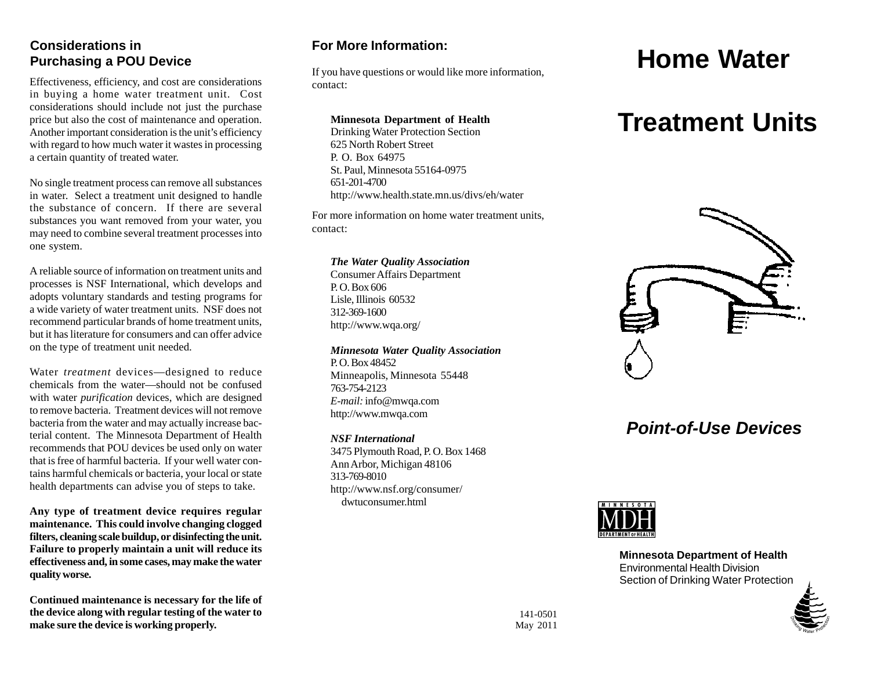### **Considerations in Purchasing a POU Device**

Effectiveness, efficiency, and cost are considerations in buying a home water treatment unit. Cost considerations should include not just the purchase price but also the cost of maintenance and operation. Another important consideration is the unit's efficiency with regard to how much water it wastes in processing a certain quantity of treated water.

No single treatment process can remove all substances in water. Select a treatment unit designed to handle the substance of concern. If there are several substances you want removed from your water, you may need to combine several treatment processes into one system.

A reliable source of information on treatment units and processes is NSF International, which develops and adopts voluntary standards and testing programs for a wide variety of water treatment units. NSF does not recommend particular brands of home treatment units, but it has literature for consumers and can offer advice on the type of treatment unit needed.

Water *treatment* devices—designed to reduce chemicals from the water—should not be confused with water *purification* devices, which are designed to remove bacteria. Treatment devices will not remove bacteria from the water and may actually increase bacterial content. The Minnesota Department of Health recommends that POU devices be used only on water that is free of harmful bacteria. If your well water contains harmful chemicals or bacteria, your local or state health departments can advise you of steps to take.

**Any type of treatment device requires regular maintenance. This could involve changing clogged filters, cleaning scale buildup, or disinfecting the unit. Failure to properly maintain a unit will reduce its effectiveness and, in some cases, may make the water quality worse.** 

**Continued maintenance is necessary for the life of the device along with regular testing of the water to make sure the device is working properly.** 

contact:

# **Minnesota Department of Health**

625 North Robert Street P. O. Box 64975 St. Paul, Minnesota 55164-0975 651-201-4700 http://www.health.state.mn.us/divs/eh/water

For more information on home water treatment units, contact:

#### *The Water Quality Association*

Consumer Affairs Department P. O. Box 606 Lisle, Illinois 60532 312-369-1600 http://www.wqa.org/

#### *Minnesota Water Quality Association*

P. O. Box 48452 Minneapolis, Minnesota 55448 763-754-2123 *E-mail:* info@mwqa.com http://www.mwqa.com

#### *NSF International*

3475 Plymouth Road, P. O. Box 1468 Ann Arbor, Michigan 48106 313-769-8010 http://www.nsf.org/consumer/ dwtuconsumer.html

# **For More Information:**<br>
If you have questions or would like more information,<br> **Home Water**

# **Treatment Units**



## *Point-of-Use Devices*



**Minnesota Department of Health**  Environmental Health Division Section of Drinking Water Protection